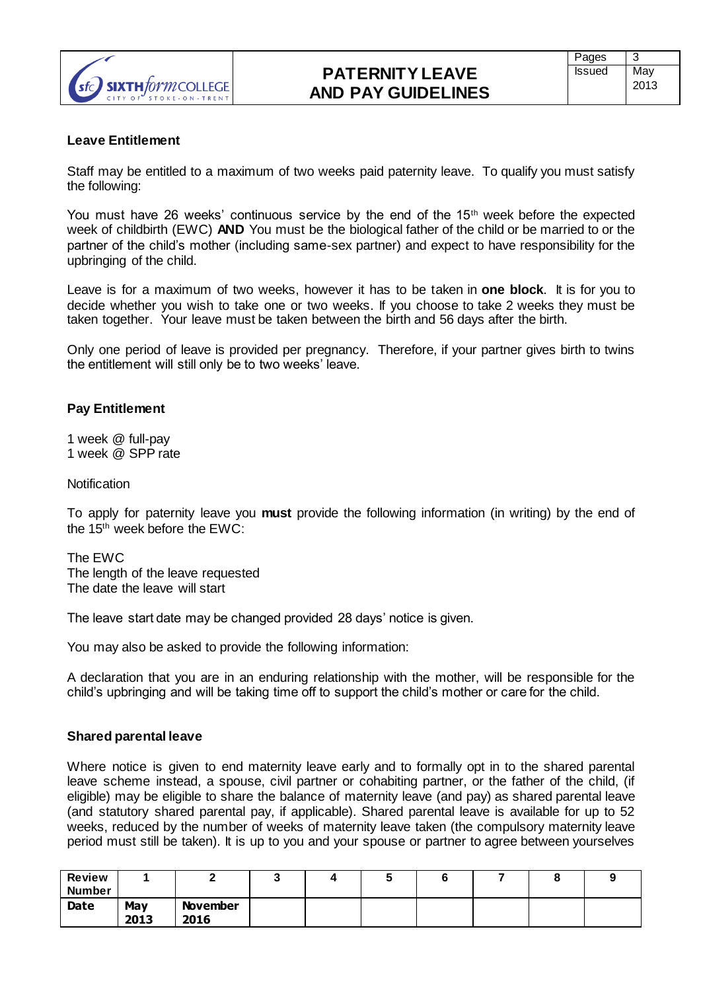

### **Leave Entitlement**

Staff may be entitled to a maximum of two weeks paid paternity leave. To qualify you must satisfy the following:

You must have 26 weeks' continuous service by the end of the 15<sup>th</sup> week before the expected week of childbirth (EWC) **AND** You must be the biological father of the child or be married to or the partner of the child's mother (including same-sex partner) and expect to have responsibility for the upbringing of the child.

Leave is for a maximum of two weeks, however it has to be taken in **one block**. It is for you to decide whether you wish to take one or two weeks. If you choose to take 2 weeks they must be taken together. Your leave must be taken between the birth and 56 days after the birth.

Only one period of leave is provided per pregnancy. Therefore, if your partner gives birth to twins the entitlement will still only be to two weeks' leave.

## **Pay Entitlement**

1 week @ full-pay 1 week @ SPP rate

**Notification** 

To apply for paternity leave you **must** provide the following information (in writing) by the end of the 15th week before the EWC:

The EWC The length of the leave requested The date the leave will start

The leave start date may be changed provided 28 days' notice is given.

You may also be asked to provide the following information:

A declaration that you are in an enduring relationship with the mother, will be responsible for the child's upbringing and will be taking time off to support the child's mother or care for the child.

### **Shared parental leave**

Where notice is given to end maternity leave early and to formally opt in to the shared parental leave scheme instead, a spouse, civil partner or cohabiting partner, or the father of the child, (if eligible) may be eligible to share the balance of maternity leave (and pay) as shared parental leave (and statutory shared parental pay, if applicable). Shared parental leave is available for up to 52 weeks, reduced by the number of weeks of maternity leave taken (the compulsory maternity leave period must still be taken). It is up to you and your spouse or partner to agree between yourselves

| <b>Review</b><br><b>Number</b> |             |                         | ີ | w |  |  |
|--------------------------------|-------------|-------------------------|---|---|--|--|
| Date                           | May<br>2013 | <b>November</b><br>2016 |   |   |  |  |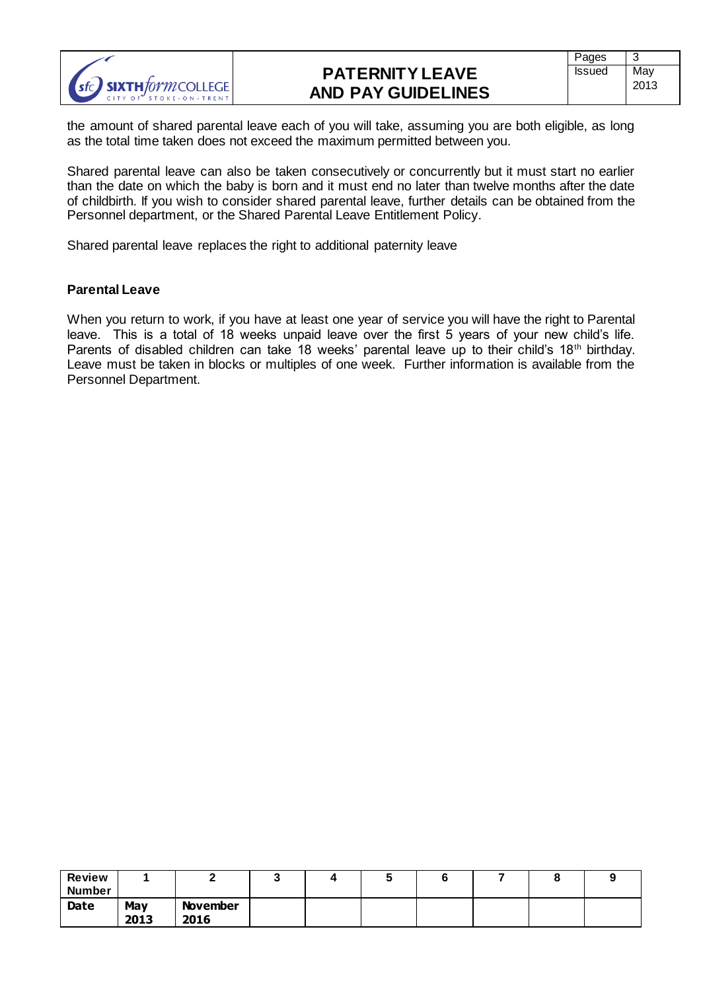

the amount of shared parental leave each of you will take, assuming you are both eligible, as long as the total time taken does not exceed the maximum permitted between you.

Shared parental leave can also be taken consecutively or concurrently but it must start no earlier than the date on which the baby is born and it must end no later than twelve months after the date of childbirth. If you wish to consider shared parental leave, further details can be obtained from the Personnel department, or the Shared Parental Leave Entitlement Policy.

Shared parental leave replaces the right to additional paternity leave

## **Parental Leave**

When you return to work, if you have at least one year of service you will have the right to Parental leave. This is a total of 18 weeks unpaid leave over the first 5 years of your new child's life. Parents of disabled children can take 18 weeks' parental leave up to their child's 18<sup>th</sup> birthday. Leave must be taken in blocks or multiples of one week. Further information is available from the Personnel Department.

| <b>Review</b><br><b>Number</b> |             |                         | w | ۰. |  |  |
|--------------------------------|-------------|-------------------------|---|----|--|--|
| Date                           | May<br>2013 | <b>November</b><br>2016 |   |    |  |  |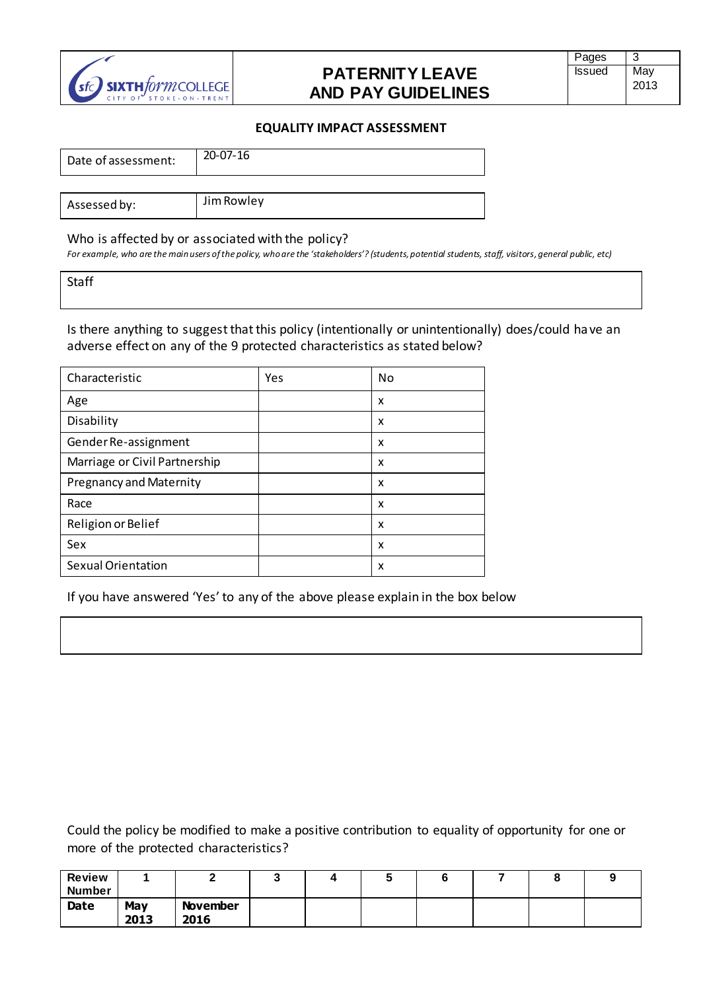

#### **EQUALITY IMPACT ASSESSMENT**

| Date of assessment: | $20 - 07 - 16$ |
|---------------------|----------------|
|                     |                |
| Assessed by:        | Jim Rowley     |

#### Who is affected by or associated with the policy?

For example, who are the main users of the policy, who are the 'stakeholders'? (students, potential students, staff, visitors, general public, etc)

Staff

Is there anything to suggest that this policy (intentionally or unintentionally) does/could have an adverse effect on any of the 9 protected characteristics as stated below?

| Characteristic                 | Yes | No |
|--------------------------------|-----|----|
| Age                            |     | x  |
| Disability                     |     | x  |
| Gender Re-assignment           |     | x  |
| Marriage or Civil Partnership  |     | x  |
| <b>Pregnancy and Maternity</b> |     | X  |
| Race                           |     | x  |
| Religion or Belief             |     | x  |
| Sex                            |     | x  |
| <b>Sexual Orientation</b>      |     | x  |

If you have answered 'Yes' to any of the above please explain in the box below

Could the policy be modified to make a positive contribution to equality of opportunity for one or more of the protected characteristics?

| <b>Review</b><br><b>Number</b> |             |                         |  | $\overline{\phantom{a}}$ |  |  |
|--------------------------------|-------------|-------------------------|--|--------------------------|--|--|
| <b>Date</b>                    | May<br>2013 | <b>November</b><br>2016 |  |                          |  |  |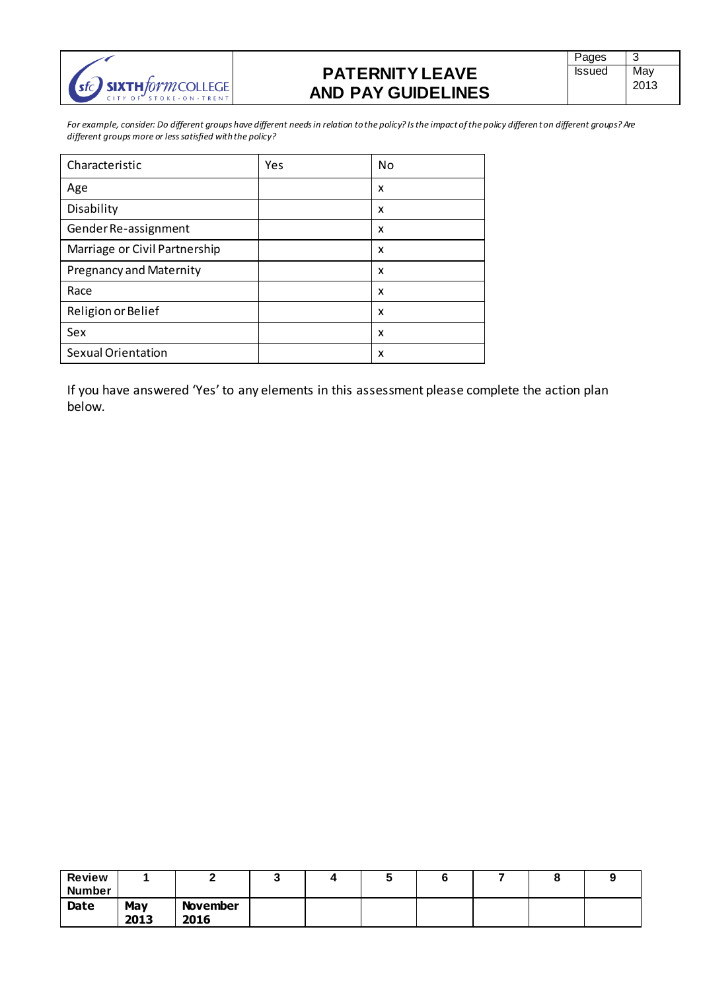

*For example, consider: Do different groups have different needs in relation to the policy? Is the impact of the policy different on different groups? Are different groups more or less satisfied with the policy?*

| Characteristic                 | Yes | <b>No</b> |
|--------------------------------|-----|-----------|
| Age                            |     | x         |
| Disability                     |     | x         |
| Gender Re-assignment           |     | x         |
| Marriage or Civil Partnership  |     | x         |
| <b>Pregnancy and Maternity</b> |     | x         |
| Race                           |     | x         |
| Religion or Belief             |     | x         |
| Sex                            |     | x         |
| <b>Sexual Orientation</b>      |     | x         |

If you have answered 'Yes' to any elements in this assessment please complete the action plan below.

| <b>Review</b><br><b>Number</b> |             |                         | w | w |  | v |  |
|--------------------------------|-------------|-------------------------|---|---|--|---|--|
| Date                           | May<br>2013 | <b>November</b><br>2016 |   |   |  |   |  |